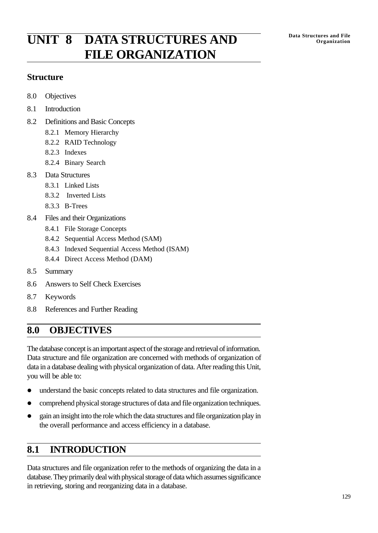# **Data Structures and File UNIT 8 DATA STRUCTURES AND Organization FILE ORGANIZATION**

### **Structure**

- 8.0 Objectives
- 8.1 Introduction
- 8.2 Definitions and Basic Concepts
	- 8.2.1 Memory Hierarchy
	- 8.2.2 RAID Technology
	- 8.2.3 Indexes
	- 8.2.4 Binary Search
- 8.3 Data Structures
	- 8.3.1 Linked Lists
	- 8.3.2 Inverted Lists
	- 8.3.3 B-Trees
- 8.4 Files and their Organizations
	- 8.4.1 File Storage Concepts
	- 8.4.2 Sequential Access Method (SAM)
	- 8.4.3 Indexed Sequential Access Method (ISAM)
	- 8.4.4 Direct Access Method (DAM)
- 8.5 Summary
- 8.6 Answers to Self Check Exercises
- 8.7 Keywords
- 8.8 References and Further Reading

# **8.0 OBJECTIVES**

The database concept is an important aspect of the storage and retrieval of information. Data structure and file organization are concerned with methods of organization of data in a database dealing with physical organization of data. After reading this Unit, you will be able to:

- $\bullet$  understand the basic concepts related to data structures and file organization.
- comprehend physical storage structures of data and file organization techniques.
- gain an insight into the role which the data structures and file organization play in the overall performance and access efficiency in a database.

# **8.1 INTRODUCTION**

Data structures and file organization refer to the methods of organizing the data in a database. They primarily deal with physical storage of data which assumes significance in retrieving, storing and reorganizing data in a database.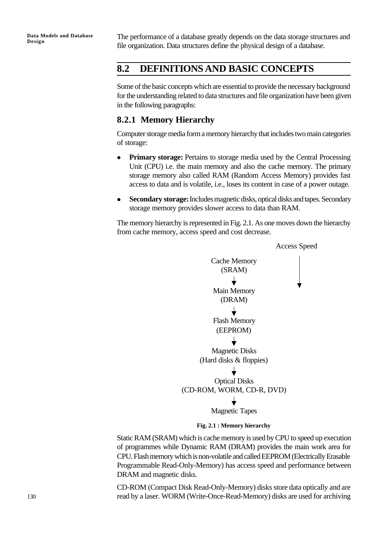The performance of a database greatly depends on the data storage structures and file organization. Data structures define the physical design of a database.

### **8.2 DEFINITIONS AND BASIC CONCEPTS**

Some of the basic concepts which are essential to provide the necessary background for the understanding related to data structures and file organization have been given in the following paragraphs:

### **8.2.1 Memory Hierarchy**

Computer storage media form a memory hierarchy that includes two main categories of storage:

- **Primary storage:** Pertains to storage media used by the Central Processing Unit (CPU) i.e. the main memory and also the cache memory. The primary storage memory also called RAM (Random Access Memory) provides fast access to data and is volatile, i.e., loses its content in case of a power outage.
- <sup>l</sup> **Secondary storage:** Includes magnetic disks, optical disks and tapes. Secondary storage memory provides slower access to data than RAM.

The memory hierarchy is represented in Fig. 2.1. As one moves down the hierarchy from cache memory, access speed and cost decrease.



**Fig. 2.1 : Memory hierarchy**

Static RAM (SRAM) which is cache memory is used by CPU to speed up execution of programmes while Dynamic RAM (DRAM) provides the main work area for CPU. Flash memory which is non-volatile and called EEPROM (Electrically Erasable Programmable Read-Only-Memory) has access speed and performance between DRAM and magnetic disks.

CD-ROM (Compact Disk Read-Only-Memory) disks store data optically and are read by a laser. WORM (Write-Once-Read-Memory) disks are used for archiving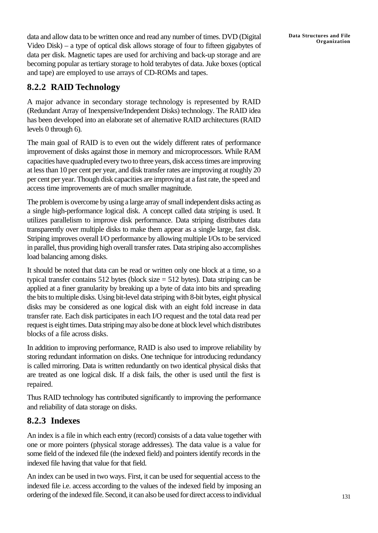data and allow data to be written once and read any number of times. DVD (Digital Video Disk) – a type of optical disk allows storage of four to fifteen gigabytes of data per disk. Magnetic tapes are used for archiving and back-up storage and are becoming popular as tertiary storage to hold terabytes of data. Juke boxes (optical and tape) are employed to use arrays of CD-ROMs and tapes.

## **8.2.2 RAID Technology**

A major advance in secondary storage technology is represented by RAID (Redundant Array of Inexpensive/Independent Disks) technology. The RAID idea has been developed into an elaborate set of alternative RAID architectures (RAID levels 0 through 6).

The main goal of RAID is to even out the widely different rates of performance improvement of disks against those in memory and microprocessors. While RAM capacities have quadrupled every two to three years, disk access times are improving at less than 10 per cent per year, and disk transfer rates are improving at roughly 20 per cent per year. Though disk capacities are improving at a fast rate, the speed and access time improvements are of much smaller magnitude.

The problem is overcome by using a large array of small independent disks acting as a single high-performance logical disk. A concept called data striping is used. It utilizes parallelism to improve disk performance. Data striping distributes data transparently over multiple disks to make them appear as a single large, fast disk. Striping improves overall I/O performance by allowing multiple I/Os to be serviced in parallel, thus providing high overall transfer rates. Data striping also accomplishes load balancing among disks.

It should be noted that data can be read or written only one block at a time, so a typical transfer contains 512 bytes (block size = 512 bytes). Data striping can be applied at a finer granularity by breaking up a byte of data into bits and spreading the bits to multiple disks. Using bit-level data striping with 8-bit bytes, eight physical disks may be considered as one logical disk with an eight fold increase in data transfer rate. Each disk participates in each I/O request and the total data read per request is eight times. Data striping may also be done at block level which distributes blocks of a file across disks.

In addition to improving performance, RAID is also used to improve reliability by storing redundant information on disks. One technique for introducing redundancy is called mirroring. Data is written redundantly on two identical physical disks that are treated as one logical disk. If a disk fails, the other is used until the first is repaired.

Thus RAID technology has contributed significantly to improving the performance and reliability of data storage on disks.

### **8.2.3 Indexes**

An index is a file in which each entry (record) consists of a data value together with one or more pointers (physical storage addresses). The data value is a value for some field of the indexed file (the indexed field) and pointers identify records in the indexed file having that value for that field.

An index can be used in two ways. First, it can be used for sequential access to the indexed file i.e. access according to the values of the indexed field by imposing an ordering of the indexed file. Second, it can also be used for direct access to individual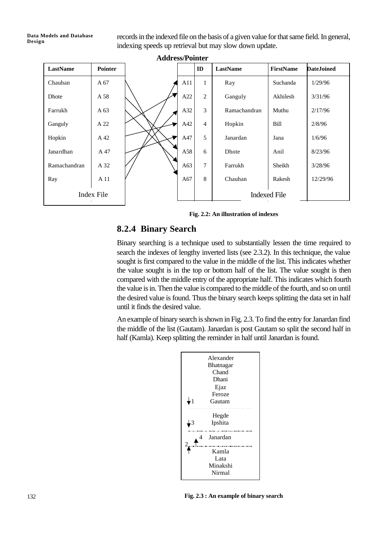### **Data Models and Database Design**

records in the indexed file on the basis of a given value for that same field. In general, indexing speeds up retrieval but may slow down update.

| <b>Address/Pointer</b> |                |  |     |                |                     |                  |                   |
|------------------------|----------------|--|-----|----------------|---------------------|------------------|-------------------|
| LastName               | <b>Pointer</b> |  |     | ID             | LastName            | <b>FirstName</b> | <b>DateJoined</b> |
| Chauhan                | A 67           |  | A11 | 1              | Ray                 | Suchanda         | 1/29/96           |
| Dhote                  | A 58           |  | A22 | 2              | Ganguly             | Akhilesh         | 3/31/96           |
| Farrukh                | A 63           |  | A32 | 3              | Ramachandran        | Muthu            | 2/17/96           |
| Ganguly                | A 22           |  | A42 | $\overline{4}$ | Hopkin              | Bill             | 2/8/96            |
| Hopkin                 | A 42           |  | A47 | 5              | Janardan            | Jana             | 1/6/96            |
| Janardhan              | A 47           |  | A58 | 6              | Dhote               | Anil             | 8/23/96           |
| Ramachandran           | A 32           |  | A63 | 7              | Farrukh             | Sheikh           | 3/28/96           |
| Ray                    | A 11           |  | A67 | 8              | Chauhan             | Rakesh           | 12/29/96          |
| Index File             |                |  |     |                | <b>Indexed File</b> |                  |                   |

**Fig. 2.2: An illustration of indexes**

### **8.2.4 Binary Search**

Binary searching is a technique used to substantially lessen the time required to search the indexes of lengthy inverted lists (see 2.3.2). In this technique, the value sought is first compared to the value in the middle of the list. This indicates whether the value sought is in the top or bottom half of the list. The value sought is then compared with the middle entry of the appropriate half. This indicates which fourth the value is in. Then the value is compared to the middle of the fourth, and so on until the desired value is found. Thus the binary search keeps splitting the data set in half until it finds the desired value.

An example of binary search is shown in Fig. 2.3. To find the entry for Janardan find the middle of the list (Gautam). Janardan is post Gautam so split the second half in half (Kamla). Keep splitting the reminder in half until Janardan is found.



**Fig. 2.3 : An example of binary search**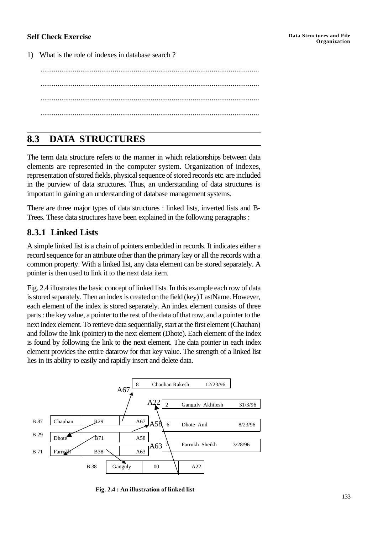### **Self Check Exercise**

1) What is the role of indexes in database search ?

................................................................................................................... ................................................................................................................... ................................................................................................................... ...................................................................................................................

# **8.3 DATA STRUCTURES**

The term data structure refers to the manner in which relationships between data elements are represented in the computer system. Organization of indexes, representation of stored fields, physical sequence of stored records etc. are included in the purview of data structures. Thus, an understanding of data structures is important in gaining an understanding of database management systems.

There are three major types of data structures : linked lists, inverted lists and B-Trees. These data structures have been explained in the following paragraphs :

### **8.3.1 Linked Lists**

A simple linked list is a chain of pointers embedded in records. It indicates either a record sequence for an attribute other than the primary key or all the records with a common property. With a linked list, any data element can be stored separately. A pointer is then used to link it to the next data item.

Fig. 2.4 illustrates the basic concept of linked lists. In this example each row of data is stored separately. Then an index is created on the field (key) LastName. However, each element of the index is stored separately. An index element consists of three parts : the key value, a pointer to the rest of the data of that row, and a pointer to the next index element. To retrieve data sequentially, start at the first element (Chauhan) and follow the link (pointer) to the next element (Dhote). Each element of the index is found by following the link to the next element. The data pointer in each index element provides the entire datarow for that key value. The strength of a linked list lies in its ability to easily and rapidly insert and delete data.



 **Fig. 2.4 : An illustration of linked list**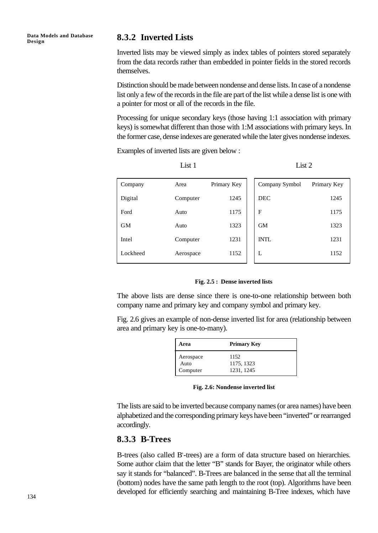**Data Models and Database** Data Models and Database **8.3.2 Inverted Lists** 

Inverted lists may be viewed simply as index tables of pointers stored separately from the data records rather than embedded in pointer fields in the stored records themselves.

Distinction should be made between nondense and dense lists. In case of a nondense list only a few of the records in the file are part of the list while a dense list is one with a pointer for most or all of the records in the file.

Processing for unique secondary keys (those having 1:1 association with primary keys) is somewhat different than those with 1:M associations with primary keys. In the former case, dense indexes are generated while the later gives nondense indexes.

Examples of inverted lists are given below :

| Company   | Area      | Primary Key | Company Symbol | Primary Key |
|-----------|-----------|-------------|----------------|-------------|
| Digital   | Computer  | 1245        | <b>DEC</b>     | 1245        |
| Ford      | Auto      | 1175        | F              | 1175        |
| <b>GM</b> | Auto      | 1323        | <b>GM</b>      | 1323        |
| Intel     | Computer  | 1231        | <b>INTL</b>    | 1231        |
| Lockheed  | Aerospace | 1152        | L              | 1152        |

List 1  $List 2$ 

### **Fig. 2.5 : Dense inverted lists**

The above lists are dense since there is one-to-one relationship between both company name and primary key and company symbol and primary key.

Fig. 2.6 gives an example of non-dense inverted list for area (relationship between area and primary key is one-to-many).

| Area                          | <b>Primary Key</b>               |  |  |
|-------------------------------|----------------------------------|--|--|
| Aerospace<br>Auto<br>Computer | 1152<br>1175, 1323<br>1231, 1245 |  |  |

**Fig. 2.6: Nondense inverted list**

The lists are said to be inverted because company names (or area names) have been alphabetized and the corresponding primary keys have been "inverted" or rearranged accordingly.

### **8.3.3 B-Trees**

B-trees (also called B<sup>+</sup> -trees) are a form of data structure based on hierarchies. Some author claim that the letter "B" stands for Bayer, the originator while others say it stands for "balanced". B-Trees are balanced in the sense that all the terminal (bottom) nodes have the same path length to the root (top). Algorithms have been developed for efficiently searching and maintaining B-Tree indexes, which have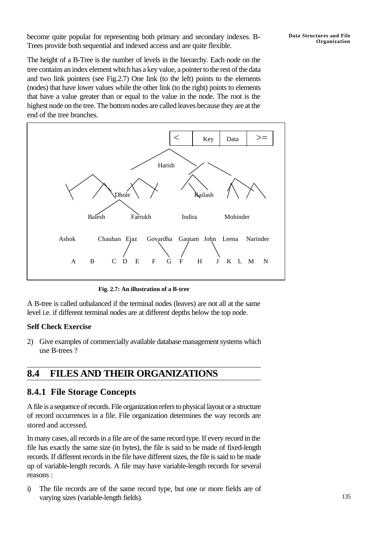become quite popular for representing both primary and secondary indexes. B-Trees provide both sequential and indexed access and are quite flexible.

The height of a B-Tree is the number of levels in the hierarchy. Each node on the tree contains an index element which has a key value, a pointer to the rest of the data and two link pointers (see Fig.2.7) One link (to the left) points to the elements (nodes) that have lower values while the other link (to the right) points to elements that have a value greater than or equal to the value in the node. The root is the highest node on the tree. The bottom nodes are called leaves because they are at the end of the tree branches.



**Fig. 2.7: An illustration of a B-tree**

A B-tree is called unbalanced if the terminal nodes (leaves) are not all at the same level i.e. if different terminal nodes are at different depths below the top node.

### **Self Check Exercise**

2) Give examples of commercially available database management systems which use B-trees ?

# **8.4 FILES AND THEIR ORGANIZATIONS**

### **8.4.1 File Storage Concepts**

A file is a sequence of records. File organization refers to physical layout or a structure of record occurrences in a file. File organization determines the way records are stored and accessed.

In many cases, all records in a file are of the same record type. If every record in the file has exactly the same size (in bytes), the file is said to be made of fixed-length records. If different records in the file have different sizes, the file is said to be made up of variable-length records. A file may have variable-length records for several reasons :

i) The file records are of the same record type, but one or more fields are of varying sizes (variable-length fields).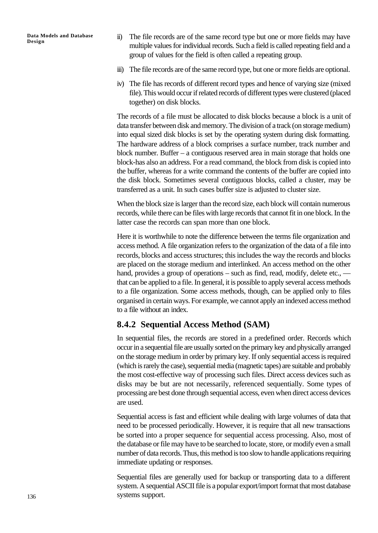**Data Models and Database Design**

- ii) The file records are of the same record type but one or more fields may have multiple values for individual records. Such a field is called repeating field and a group of values for the field is often called a repeating group.
- iii) The file records are of the same record type, but one or more fields are optional.
- iv) The file has records of different record types and hence of varying size (mixed file). This would occur if related records of different types were clustered (placed together) on disk blocks.

The records of a file must be allocated to disk blocks because a block is a unit of data transfer between disk and memory. The division of a track (on storage medium) into equal sized disk blocks is set by the operating system during disk formatting. The hardware address of a block comprises a surface number, track number and block number. Buffer – a contiguous reserved area in main storage that holds one block-has also an address. For a read command, the block from disk is copied into the buffer, whereas for a write command the contents of the buffer are copied into the disk block. Sometimes several contiguous blocks, called a cluster, may be transferred as a unit. In such cases buffer size is adjusted to cluster size.

When the block size is larger than the record size, each block will contain numerous records, while there can be files with large records that cannot fit in one block. In the latter case the records can span more than one block.

Here it is worthwhile to note the difference between the terms file organization and access method. A file organization refers to the organization of the data of a file into records, blocks and access structures; this includes the way the records and blocks are placed on the storage medium and interlinked. An access method on the other hand, provides a group of operations – such as find, read, modify, delete etc., that can be applied to a file. In general, it is possible to apply several access methods to a file organization. Some access methods, though, can be applied only to files organised in certain ways. For example, we cannot apply an indexed access method to a file without an index.

### **8.4.2 Sequential Access Method (SAM)**

In sequential files, the records are stored in a predefined order. Records which occur in a sequential file are usually sorted on the primary key and physically arranged on the storage medium in order by primary key. If only sequential access is required (which is rarely the case), sequential media (magnetic tapes) are suitable and probably the most cost-effective way of processing such files. Direct access devices such as disks may be but are not necessarily, referenced sequentially. Some types of processing are best done through sequential access, even when direct access devices are used.

Sequential access is fast and efficient while dealing with large volumes of data that need to be processed periodically. However, it is require that all new transactions be sorted into a proper sequence for sequential access processing. Also, most of the database or file may have to be searched to locate, store, or modify even a small number of data records. Thus, this method is too slow to handle applications requiring immediate updating or responses.

Sequential files are generally used for backup or transporting data to a different system. A sequential ASCII file is a popular export/import format that most database systems support.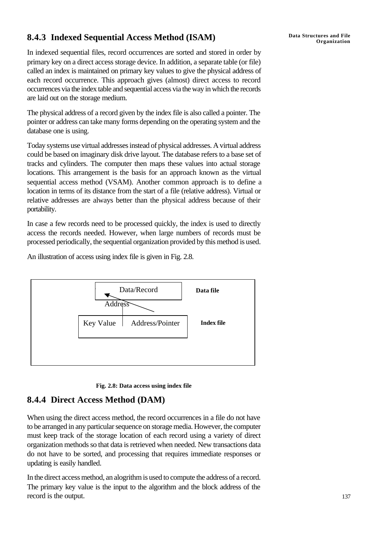## **Organization 8.4.3 Indexed Sequential Access Method (ISAM)**

In indexed sequential files, record occurrences are sorted and stored in order by primary key on a direct access storage device. In addition, a separate table (or file) called an index is maintained on primary key values to give the physical address of each record occurrence. This approach gives (almost) direct access to record occurrences via the index table and sequential access via the way in which the records are laid out on the storage medium.

The physical address of a record given by the index file is also called a pointer. The pointer or address can take many forms depending on the operating system and the database one is using.

Today systems use virtual addresses instead of physical addresses. A virtual address could be based on imaginary disk drive layout. The database refers to a base set of tracks and cylinders. The computer then maps these values into actual storage locations. This arrangement is the basis for an approach known as the virtual sequential access method (VSAM). Another common approach is to define a location in terms of its distance from the start of a file (relative address). Virtual or relative addresses are always better than the physical address because of their portability.

In case a few records need to be processed quickly, the index is used to directly access the records needed. However, when large numbers of records must be processed periodically, the sequential organization provided by this method is used.

An illustration of access using index file is given in Fig. 2.8.





### **8.4.4 Direct Access Method (DAM)**

When using the direct access method, the record occurrences in a file do not have to be arranged in any particular sequence on storage media. However, the computer must keep track of the storage location of each record using a variety of direct organization methods so that data is retrieved when needed. New transactions data do not have to be sorted, and processing that requires immediate responses or updating is easily handled.

In the direct access method, an alogrithm is used to compute the address of a record. The primary key value is the input to the algorithm and the block address of the record is the output.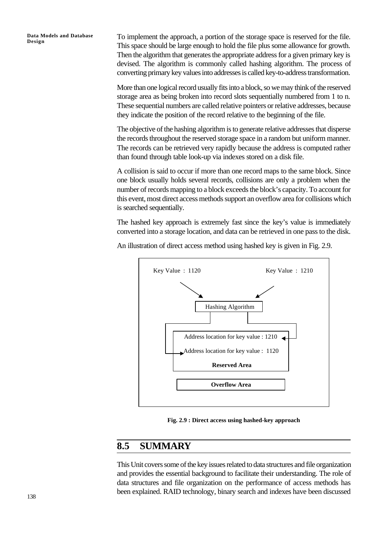**Data Models and Database Design**

To implement the approach, a portion of the storage space is reserved for the file. This space should be large enough to hold the file plus some allowance for growth. Then the algorithm that generates the appropriate address for a given primary key is devised. The algorithm is commonly called hashing algorithm. The process of converting primary key values into addresses is called key-to-address transformation.

More than one logical record usually fits into a block, so we may think of the reserved storage area as being broken into record slots sequentially numbered from 1 to n. These sequential numbers are called relative pointers or relative addresses, because they indicate the position of the record relative to the beginning of the file.

The objective of the hashing algorithm is to generate relative addresses that disperse the records throughout the reserved storage space in a random but uniform manner. The records can be retrieved very rapidly because the address is computed rather than found through table look-up via indexes stored on a disk file.

A collision is said to occur if more than one record maps to the same block. Since one block usually holds several records, collisions are only a problem when the number of records mapping to a block exceeds the block's capacity. To account for this event, most direct access methods support an overflow area for collisions which is searched sequentially.

The hashed key approach is extremely fast since the key's value is immediately converted into a storage location, and data can be retrieved in one pass to the disk.

An illustration of direct access method using hashed key is given in Fig. 2.9.



**Fig. 2.9 : Direct access using hashed-key approach**

## **8.5 SUMMARY**

This Unit covers some of the key issues related to data structures and file organization and provides the essential background to facilitate their understanding. The role of data structures and file organization on the performance of access methods has been explained. RAID technology, binary search and indexes have been discussed